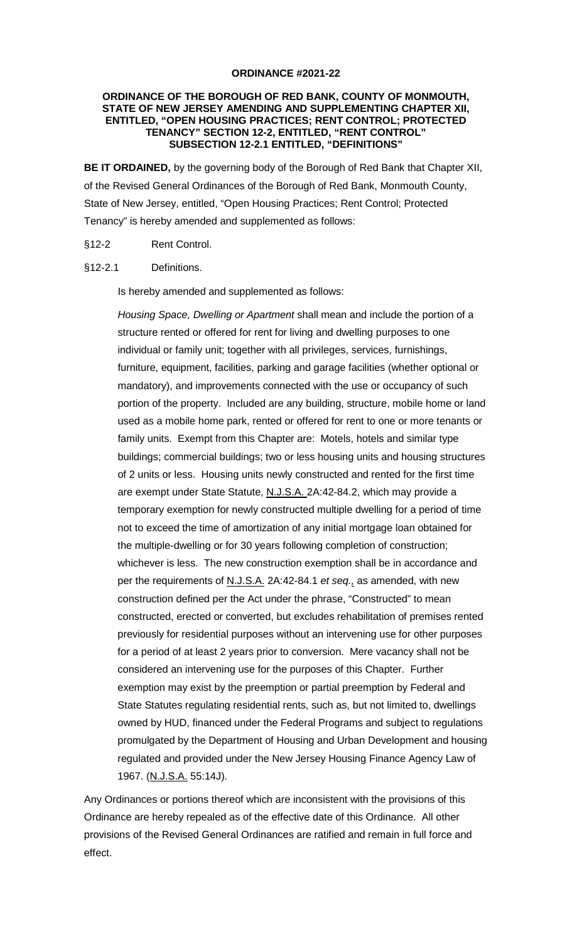## **ORDINANCE #2021-22**

## **ORDINANCE OF THE BOROUGH OF RED BANK, COUNTY OF MONMOUTH, STATE OF NEW JERSEY AMENDING AND SUPPLEMENTING CHAPTER XII, ENTITLED, "OPEN HOUSING PRACTICES; RENT CONTROL; PROTECTED TENANCY" SECTION 12-2, ENTITLED, "RENT CONTROL" SUBSECTION 12-2.1 ENTITLED, "DEFINITIONS"**

**BE IT ORDAINED,** by the governing body of the Borough of Red Bank that Chapter XII, of the Revised General Ordinances of the Borough of Red Bank, Monmouth County, State of New Jersey, entitled, "Open Housing Practices; Rent Control; Protected Tenancy" is hereby amended and supplemented as follows:

- §12-2 Rent Control.
- §12-2.1 Definitions.

Is hereby amended and supplemented as follows:

Housing Space, Dwelling or Apartment shall mean and include the portion of a structure rented or offered for rent for living and dwelling purposes to one individual or family unit; together with all privileges, services, furnishings, furniture, equipment, facilities, parking and garage facilities (whether optional or mandatory), and improvements connected with the use or occupancy of such portion of the property. Included are any building, structure, mobile home or land used as a mobile home park, rented or offered for rent to one or more tenants or family units. Exempt from this Chapter are: Motels, hotels and similar type buildings; commercial buildings; two or less housing units and housing structures of 2 units or less. Housing units newly constructed and rented for the first time are exempt under State Statute, N.J.S.A. 2A:42-84.2, which may provide a temporary exemption for newly constructed multiple dwelling for a period of time not to exceed the time of amortization of any initial mortgage loan obtained for the multiple-dwelling or for 30 years following completion of construction; whichever is less. The new construction exemption shall be in accordance and per the requirements of N.J.S.A. 2A:42-84.1 et seq., as amended, with new construction defined per the Act under the phrase, "Constructed" to mean constructed, erected or converted, but excludes rehabilitation of premises rented previously for residential purposes without an intervening use for other purposes for a period of at least 2 years prior to conversion. Mere vacancy shall not be considered an intervening use for the purposes of this Chapter. Further exemption may exist by the preemption or partial preemption by Federal and State Statutes regulating residential rents, such as, but not limited to, dwellings owned by HUD, financed under the Federal Programs and subject to regulations promulgated by the Department of Housing and Urban Development and housing regulated and provided under the New Jersey Housing Finance Agency Law of 1967. (N.J.S.A. 55:14J).

Any Ordinances or portions thereof which are inconsistent with the provisions of this Ordinance are hereby repealed as of the effective date of this Ordinance. All other provisions of the Revised General Ordinances are ratified and remain in full force and effect.